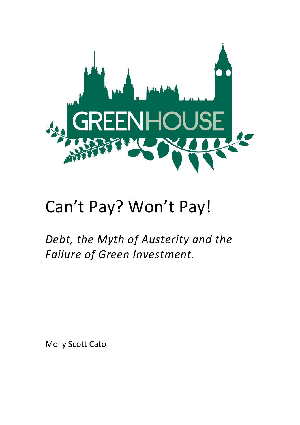

# Can't Pay? Won't Pay!

Debt, the Myth of Austerity and the Failure of Green Investment.

**Molly Scott Cato**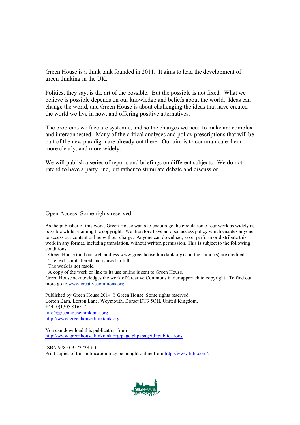Green House is a think tank founded in 2011. It aims to lead the development of green thinking in the UK.

Politics, they say, is the art of the possible. But the possible is not fixed. What we believe is possible depends on our knowledge and beliefs about the world. Ideas can change the world, and Green House is about challenging the ideas that have created the world we live in now, and offering positive alternatives.

The problems we face are systemic, and so the changes we need to make are complex and interconnected. Many of the critical analyses and policy prescriptions that will be part of the new paradigm are already out there. Our aim is to communicate them more clearly, and more widely.

We will publish a series of reports and briefings on different subjects. We do not intend to have a party line, but rather to stimulate debate and discussion.

#### Open Access. Some rights reserved.

As the publisher of this work, Green House wants to encourage the circulation of our work as widely as possible while retaining the copyright. We therefore have an open access policy which enables anyone to access our content online without charge. Anyone can download, save, perform or distribute this work in any format, including translation, without written permission. This is subject to the following conditions:

· Green House (and our web address www.greenhousethinktank.org) and the author(s) are credited

· The text is not altered and is used in full

· The work is not resold

· A copy of the work or link to its use online is sent to Green House.

Green House acknowledges the work of Creative Commons in our approach to copyright. To find out more go to www.creativecommons.org.

Published by Green House 2014 © Green House. Some rights reserved. Lorton Barn, Lorton Lane, Weymouth, Dorset DT3 5QH, United Kingdom. +44 (0)1305 816514 info@greenhousethinktank.org http://www.greenhousethinktank.org

You can download this publication from http://www.greenhousethinktank.org/page.php?pageid=publications

ISBN 978-0-9573738-6-0 Print copies of this publication may be bought online from http://www.lulu.com/.

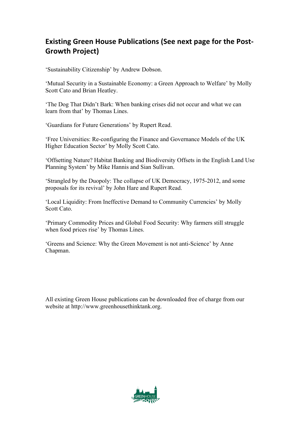# **Existing Green House Publications (See next page for the Post-Growth Project)**

'Sustainability Citizenship' by Andrew Dobson.

'Mutual Security in a Sustainable Economy: a Green Approach to Welfare' by Molly Scott Cato and Brian Heatley.

'The Dog That Didn't Bark: When banking crises did not occur and what we can learn from that' by Thomas Lines.

'Guardians for Future Generations' by Rupert Read.

'Free Universities: Re-configuring the Finance and Governance Models of the UK Higher Education Sector' by Molly Scott Cato.

'Offsetting Nature? Habitat Banking and Biodiversity Offsets in the English Land Use Planning System' by Mike Hannis and Sian Sullivan.

'Strangled by the Duopoly: The collapse of UK Democracy, 1975-2012, and some proposals for its revival' by John Hare and Rupert Read.

'Local Liquidity: From Ineffective Demand to Community Currencies' by Molly Scott Cato.

'Primary Commodity Prices and Global Food Security: Why farmers still struggle when food prices rise' by Thomas Lines.

'Greens and Science: Why the Green Movement is not anti-Science' by Anne Chapman.

All existing Green House publications can be downloaded free of charge from our website at http://www.greenhousethinktank.org.

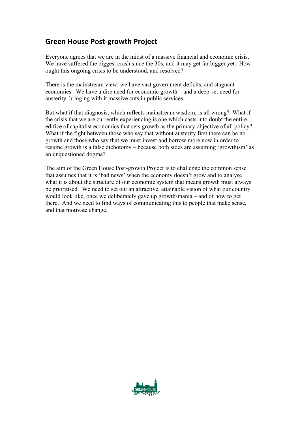### **Green House Post-growth Project**

Everyone agrees that we are in the midst of a massive financial and economic crisis. We have suffered the biggest crash since the 30s, and it may get far bigger yet. How ought this ongoing crisis to be understood, and resolved?

There is the mainstream view: we have vast government deficits, and stagnant economies. We have a dire need for economic growth – and a deep-set need for austerity, bringing with it massive cuts in public services.

But what if that diagnosis, which reflects mainstream wisdom, is all wrong? What if the crisis that we are currently experiencing is one which casts into doubt the entire edifice of capitalist economics that sets growth as the primary objective of all policy? What if the fight between those who say that without austerity first there can be no growth and those who say that we must invest and borrow more now in order to resume growth is a false dichotomy – because both sides are assuming 'growthism' as an unquestioned dogma?

The aim of the Green House Post-growth Project is to challenge the common sense that assumes that it is 'bad news' when the economy doesn't grow and to analyse what it is about the structure of our economic system that means growth must always be prioritised. We need to set out an attractive, attainable vision of what our country would look like, once we deliberately gave up growth-mania – and of how to get there. And we need to find ways of communicating this to people that make sense, and that motivate change.

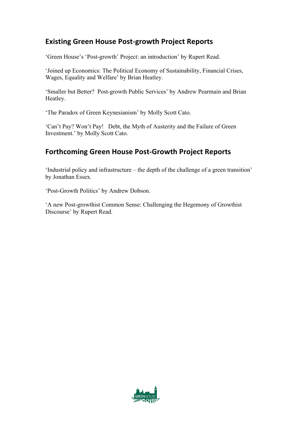## **Existing Green House Post-growth Project Reports**

'Green House's 'Post-growth' Project: an introduction' by Rupert Read.

'Joined up Economics: The Political Economy of Sustainability, Financial Crises, Wages, Equality and Welfare' by Brian Heatley.

'Smaller but Better? Post-growth Public Services' by Andrew Pearmain and Brian Heatley.

'The Paradox of Green Keynesianism' by Molly Scott Cato.

'Can't Pay? Won't Pay! Debt, the Myth of Austerity and the Failure of Green Investment.' by Molly Scott Cato.

#### **Forthcoming Green House Post-Growth Project Reports**

'Industrial policy and infrastructure – the depth of the challenge of a green transition' by Jonathan Essex.

'Post-Growth Politics' by Andrew Dobson.

'A new Post-growthist Common Sense: Challenging the Hegemony of Growthist Discourse' by Rupert Read.

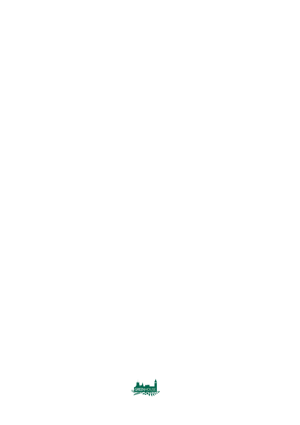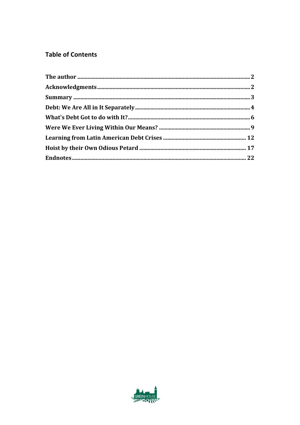# **Table of Contents**

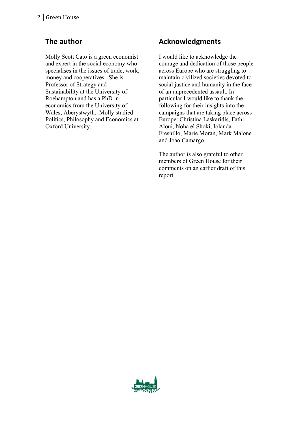# **The author**

Molly Scott Cato is a green economist and expert in the social economy who specialises in the issues of trade, work, money and cooperatives. She is Professor of Strategy and Sustainability at the University of Roehampton and has a PhD in economics from the University of Wales, Aberystwyth. Molly studied Politics, Philosophy and Economics at Oxford University.

# **Acknowledgments**

I would like to acknowledge the courage and dedication of those people across Europe who are struggling to maintain civilized societies devoted to social justice and humanity in the face of an unprecedented assault. In particular I would like to thank the following for their insights into the campaigns that are taking place across Europe: Christina Laskaridis, Fathi Aloui, Noha el Shoki, Iolanda Fresnillo, Marie Moran, Mark Malone and Joao Camargo.

The author is also grateful to other members of Green House for their comments on an earlier draft of this report.

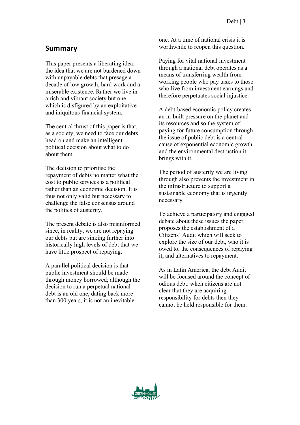#### **Summary**

This paper presents a liberating idea: the idea that we are not burdened down with unpayable debts that presage a decade of low growth, hard work and a miserable existence. Rather we live in a rich and vibrant society but one which is disfigured by an exploitative and iniquitous financial system.

The central thrust of this paper is that, as a society, we need to face our debts head on and make an intelligent political decision about what to do about them.

The decision to prioritise the repayment of debts no matter what the cost to public services is a political rather than an economic decision. It is thus not only valid but necessary to challenge the false consensus around the politics of austerity.

The present debate is also misinformed since, in reality, we are not repaying our debts but are sinking further into historically high levels of debt that we have little prospect of repaying.

A parallel political decision is that public investment should be made through money borrowed; although the decision to run a perpetual national debt is an old one, dating back more than 300 years, it is not an inevitable

one. At a time of national crisis it is worthwhile to reopen this question.

Paying for vital national investment through a national debt operates as a means of transferring wealth from working people who pay taxes to those who live from investment earnings and therefore perpetuates social injustice.

A debt-based economic policy creates an in-built pressure on the planet and its resources and so the system of paying for future consumption through the issue of public debt is a central cause of exponential economic growth and the environmental destruction it brings with it.

The period of austerity we are living through also prevents the investment in the infrastructure to support a sustainable economy that is urgently necessary.

To achieve a participatory and engaged debate about these issues the paper proposes the establishment of a Citizens' Audit which will seek to explore the size of our debt, who it is owed to, the consequences of repaying it, and alternatives to repayment.

As in Latin America, the debt Audit will be focused around the concept of odious debt: when citizens are not clear that they are acquiring responsibility for debts then they cannot be held responsible for them.

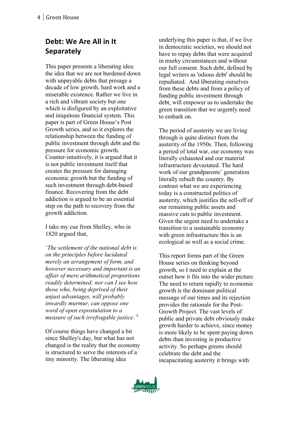# Debt: We Are All in It **Separately**

This paper presents a liberating idea: the idea that we are not burdened down with unpayable debts that presage a decade of low growth, hard work and a miserable existence. Rather we live in a rich and vibrant society but one which is disfigured by an exploitative and iniquitous financial system. This paper is part of Green House's Post Growth series, and so it explores the relationship between the funding of public investment through debt and the pressure for economic growth. Counter -intuitively, it is argued that it is not public investment itself that creates the pressure for damaging economic growth but the funding of such investment through debt -based finance. Recovering from the debt addiction is argued to be an essential step on the path to recovery from the growth addiction.

I take my cue from Shelley, who in 1820 argued that,

*'The settlement of the national debt is on the principles before lucidated merely an arrangement of form, and however necessary and important is an affair of mere arithmetical proportions readily determined; nor can I see how those who, being deprived of their unjust advantages, will probably inwardly murmur, can oppose one word of open expostulation to a measure of such irrefragable justice.'* 1

Of course things have changed a bit since Shelley's day, but what has not changed is the reality that the economy is structured to serve the interests of a tiny minority. The liberating idea

underlying this paper is that, if we live in democratic societies, we should not have to repay debts that were acquired in murky circumstances and without our full consent. Such debt, defined by legal writers as 'odious debt' should be repudiated. And liberating ourselves from these debts and from a policy of funding public investment through debt, will empower us to undertake the green transition that we urgently need to embark on .

The period of austerity we are living. through is quite distinct from the austerity of the 1950s. Then, following a period of total war, our economy was literally exhausted and our material infrastructure devastated. The hard work of our grandparents' generation literally rebuilt the country. By contrast what we are experiencing today is a constructed politics of austerity, which justifies the sell -off of our remaining public assets and massive cuts to public investment. Given the urgent need to undertake a transition to a sustainable economy with green infrastructure this is an ecological as well as a social crime.

This report forms part of the Green House series on thinking beyond growth, so I need to explain at the outset how it fits into the wider picture. The need to return rapidly to economic growth is the dominant political message of our times and its rejection provides the rationale for the Post - Growth Project. The vast levels of public and private debt obviously make growth harder to achieve, since money is more likely to be spent paying down debts than investing in productive activity. So perhaps greens should celebrate the debt and the incapacitating austerity it brings with

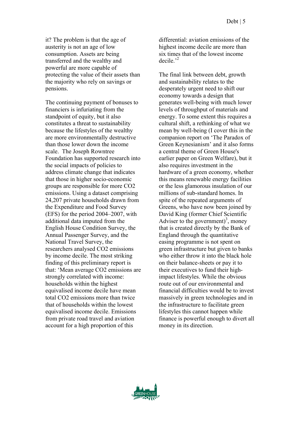it? The problem is that the age of austerity is not an age of low consumption. Assets are being transferred and the wealthy and powerful are more capable of protecting the value of their assets than the majority who rely on savings or pensions.

The continuing payment of bonuses to financiers is infuriating from the standpoint of equity, but it also constitutes a threat to sustainability because the lifestyles of the wealthy are more environmentally destructive than those lower down the income scale. The Joseph Rowntree Foundation has supported research into the social impacts of policies to address climate change that indicates that those in higher socio-economic groups are responsible for more CO2 emissions. Using a dataset comprising 24,207 private households drawn from the Expenditure and Food Survey (EFS) for the period 2004–2007, with additional data imputed from the English House Condition Survey, the Annual Passenger Survey, and the National Travel Survey, the researchers analysed CO2 emissions by income decile. The most striking finding of this preliminary report is that: 'Mean average CO2 emissions are strongly correlated with income: households within the highest equivalised income decile have mean total CO2 emissions more than twice that of households within the lowest equivalised income decile. Emissions from private road travel and aviation account for a high proportion of this

differential: aviation emissions of the highest income decile are more than six times that of the lowest income decile<sup>2</sup>

The final link between debt, growth and sustainability relates to the desperately urgent need to shift our economy towards a design that generates well-being with much lower levels of throughput of materials and energy. To some extent this requires a cultural shift, a rethinking of what we mean by well-being (I cover this in the companion report on 'The Paradox of Green Keynesianism' and it also forms a central theme of Green House's earlier paper on Green Welfare), but it also requires investment in the hardware of a green economy, whether this means renewable energy facilities or the less glamorous insulation of our millions of sub-standard homes. In spite of the repeated arguments of Greens, who have now been joined by David King (former Chief Scientific Adviser to the government)<sup>3</sup>, money that is created directly by the Bank of England through the quantitative easing programme is not spent on green infrastructure but given to banks who either throw it into the black hole on their balance-sheets or pay it to their executives to fund their highimpact lifestyles. While the obvious route out of our environmental and financial difficulties would be to invest massively in green technologies and in the infrastructure to facilitate green lifestyles this cannot happen while finance is powerful enough to divert all money in its direction.

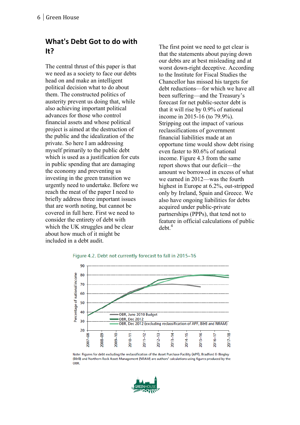# **What's Debt Got to do with It?**

The central thrust of this paper is that we need as a society to face our debts head on and make an intelligent political decision what to do about them. The constructed politics of austerity prevent us doing that, while also achieving important political advances for those who control financial assets and whose political project is aimed at the destruction of the public and the idealization of the private. So here I am addressing myself primarily to the public debt which is used as a justification for cuts in public spending that are damaging the economy and preventing us investing in the green transition we urgently need to undertake. Before we reach the meat of the paper I need to briefly address three important issues that are worth noting, but cannot be covered in full here. First we need to consider the entirety of debt with which the UK struggles and be clear about how much of it might be included in a debt audit.

The first point we need to get clear is that the statements about paying down our debts are at best misleading and at worst down -right deceptive. According to the Institute for Fiscal Studies the Chancellor has missed his targets for debt reductions —for which we have all been suffering —and the Treasury's forecast for net public -sector debt is that it will rise by 0.9% of national income in 2015 -16 (to 79.9%). Stripping out the impact of various reclassifications of government financial liabilities made at an opportune time would show debt rising even faster to 80.6% of national income. Figure 4.3 from the same report shows that our deficit—the amount we borrowed in excess of what we earned in 2012 —was the fourth highest in Europe at 6.2%, out -stripped only by Ireland, Spain and Greece. We also have ongoing liabilities for debts acquired under public -private partnerships (PPPs), that tend not to feature in official calculations of public debt. 4



Figure 4.2. Debt not currently forecast to fall in 2015-16

Note: Figures for debt excluding the reclassification of the Asset Purchase Facility (APF), Bradford & Bingley (B&B) and Northern Rock Asset Management (NRAM) are authors' calculations using figures produced by the OBR

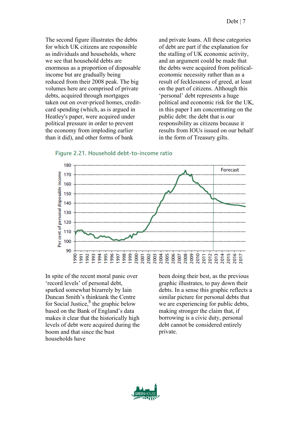The second figure illustrates the debts for which UK citizens are responsible as individuals and households, where we see that household debts are enormous as a proportion of disposable income but are gradually being reduced from their 2008 peak. The big volumes here are comprised of private debts, acquired through mortgages taken out on over-priced homes, creditcard spending (which, as is argued in Heatley's paper, were acquired under political pressure in order to prevent the economy from imploding earlier than it did), and other forms of bank

and private loans. All these categories of debt are part if the explanation for the stalling of UK economic activity, and an argument could be made that the debts were acquired from politicaleconomic necessity rather than as a result of fecklessness of greed, at least on the part of citizens. Although this 'personal' debt represents a huge political and economic risk for the UK, in this paper I am concentrating on the public debt: the debt that is our responsibility as citizens because it results from IOUs issued on our behalf in the form of Treasury gilts.





In spite of the recent moral panic over 'record levels' of personal debt, sparked somewhat bizarrely by Iain Duncan Smith's thinktank the Centre for Social Justice, $5$  the graphic below based on the Bank of England's data makes it clear that the historically high levels of debt were acquired during the boom and that since the bust households have

been doing their best, as the previous graphic illustrates, to pay down their debts. In a sense this graphic reflects a similar picture for personal debts that we are experiencing for public debts, making stronger the claim that, if borrowing is a civic duty, personal debt cannot be considered entirely private.

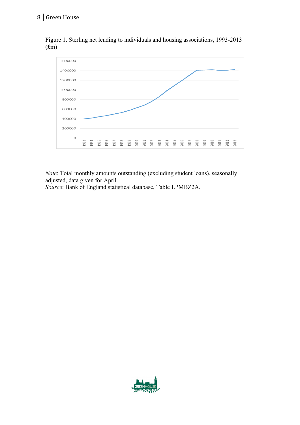

Figure 1. Sterling net lending to individuals and housing associations, 1993-2013  $(f<sub>m</sub>)$ 

*Note*: Total monthly amounts outstanding (excluding student loans), seasonally adjusted, data given for April.

*Source*: Bank of England statistical database, Table LPMBZ2A.

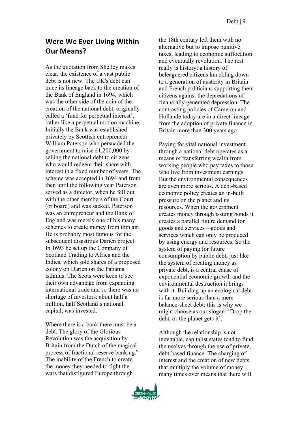# **Were We Ever Living Within Our Means?**

As the quotation from Shelley makes clear, the existence of a vast public debt is not new. The UK's debt can trace its lineage back to the creation of the Bank of England in 1694, which was the other side of the coin of the creation of the national debt, originally called a 'fund for perpetual interest', rather like a perpetual motion machine. Initially the Bank was established privately by Scottish entrepreneur William Paterson who persuaded the government to raise £1,200,000 by selling the national debt to citizens who would redeem their share with interest in a fixed number of years. The scheme was accepted in 1694 and from then until the following year Paterson served as a director, when he fell out with the other members of the Court (or board) and was sacked. Paterson was an entrepreneur and the Bank of England was merely one of his many schemes to create money from thin air. He is probably most famous for the subsequent disastrous Darien project. In 1693 he set up the Company of Scotland Trading to Africa and the Indies, which sold shares of a proposed colony on Darien on the Panama isthmus. The Scots were keen to see their own advantage from expanding international trade and so there was no shortage of investors: about half a million, half Scotland's national capital, was invested.

Where there is a bank there must be a debt. The glory of the Glorious Revolution was the acquisition by Britain from the Dutch of the magical process of fractional reserve banking.<sup>6</sup> The inability of the French to create the money they needed to fight the wars that disfigured Europe through

the 18th century left them with no alternative but to impose punitive taxes, leading to economic suffocation and eventually revolution. The rest really is history: a history of beleaguered citizens knuckling down to a generation of austerity in Britain and French politicians supporting their citizens against the depredations of financially generated depression. The contrasting policies of Cameron and Hollande today are in a direct lineage from the adoption of private finance in Britain more than 300 years ago.

Paying for vital national investment through a national debt operates as a means of transferring wealth from working people who pay taxes to those who live from investment earnings. But the environmental consequences are even more serious. A debt-based economic policy creates an in-built pressure on the planet and its resources. When the government creates money through issuing bonds it creates a parallel future demand for goods and services—goods and services which can only be produced by using energy and resources. So the system of paying for future consumption by public debt, just like the system of creating money as private debt, is a central cause of exponential economic growth and the environmental destruction it brings with it. Building up an ecological debt is far more serious than a mere balance-sheet debt: this is why we might choose as our slogan: 'Drop the debt, or the planet gets it'.

Although the relationship is not inevitable, capitalist states tend to fund themselves through the use of private, debt-based finance. The charging of interest and the creation of new debts that multiply the volume of money many times over means that there will

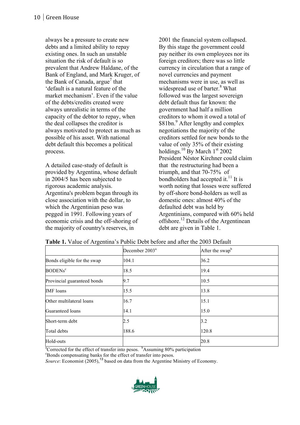always be a pressure to create new debts and a limited ability to repay existing ones. In such an unstable situation the risk of default is so prevalent that Andrew Haldane, of the Bank of England, and Mark Kruger, of the Bank of Canada, argue<sup>7</sup> that 'default is a natural feature of the market mechanism'. Even if the value of the debts/credits created were always unrealistic in terms of the capacity of the debtor to repay, when the deal collapses the creditor is always motivated to protect as much as possible of his asset. With national debt default this becomes a political process.

A detailed case-study of default is provided by Argentina, whose default in 2004/5 has been subjected to rigorous academic analysis. Argentina's problem began through its close association with the dollar, to which the Argentinian peso was pegged in 1991. Following years of economic crisis and the off-shoring of the majority of country's reserves, in

2001 the financial system collapsed. By this stage the government could pay neither its own employees nor its foreign creditors; there was so little currency in circulation that a range of novel currencies and payment mechanisms were in use, as well as widespread use of barter.<sup>8</sup> What followed was the largest sovereign debt default thus far known: the government had half a million creditors to whom it owed a total of \$81bn.<sup>9</sup> After lengthy and complex negotiations the majority of the creditors settled for new bonds to the value of only 35% of their existing holdings.<sup>10</sup> By March  $1<sup>st</sup>$  2002 President Néstor Kirchner could claim that the restructuring had been a triumph, and that 70-75% of bondholders had accepted it. $^{11}$  It is worth noting that losses were suffered by off-shore bond-holders as well as domestic ones: almost 40% of the defaulted debt was held by Argentinians, compared with 60% held offshore.<sup>12</sup> Details of the Argentinean debt are given in Table 1.

|                             | December 2003 <sup>a</sup> | After the swap <sup>b</sup> |
|-----------------------------|----------------------------|-----------------------------|
| Bonds eligible for the swap | 104.1                      | 36.2                        |
| <b>BODENs</b> <sup>c</sup>  | 18.5                       | 19.4                        |
| Provincial guaranteed bonds | 9.7                        | 10.5                        |
| <b>IMF</b> loans            | 15.5                       | 13.8                        |
| Other multilateral loans    | 16.7                       | 15.1                        |
| Guaranteed loans            | 14.1                       | 15.0                        |
| Short-term debt             | 2.5                        | 3.2                         |
| Total debts                 | 188.6                      | 120.8                       |
| Hold-outs                   |                            | 20.8                        |

#### **Table 1.** Value of Argentina's Public Debt before and after the 2003 Default

<sup>a</sup>Corrected for the effect of transfer into pesos.  $\frac{b}{2}$ Assuming 80% participation <sup>c</sup>Ponds componenting banks for the offect of transfer into pesos

Bonds compensating banks for the effect of transfer into pesos.

*Source*: Economist (2005),<sup>13</sup> based on data from the Argentine Ministry of Economy.

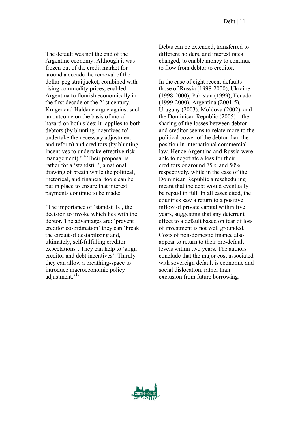The default was not the end of the Argentine economy. Although it was frozen out of the credit market for around a decade the removal of the dollar-peg straitjacket, combined with rising commodity prices, enabled Argentina to flourish economically in the first decade of the 21st century. Kruger and Haldane argue against such an outcome on the basis of moral hazard on both sides: it 'applies to both debtors (by blunting incentives to' undertake the necessary adjustment and reform) and creditors (by blunting incentives to undertake effective risk management).<sup>'14</sup> Their proposal is rather for a 'standstill', a national drawing of breath while the political, rhetorical, and financial tools can be put in place to ensure that interest payments continue to be made:

'The importance of 'standstills', the decision to invoke which lies with the debtor. The advantages are: 'prevent creditor co-ordination' they can 'break the circuit of destabilizing and, ultimately, self-fulfilling creditor expectations'. They can help to 'align creditor and debt incentives'. Thirdly they can allow a breathing-space to introduce macroeconomic policy adjustment.'<sup>15</sup>

Debts can be extended, transferred to different holders, and interest rates changed, to enable money to continue to flow from debtor to creditor.

In the case of eight recent defaults those of Russia (1998-2000), Ukraine (1998-2000), Pakistan (1999), Ecuador (1999-2000), Argentina (2001-5), Uruguay (2003), Moldova (2002), and the Dominican Republic (2005)—the sharing of the losses between debtor and creditor seems to relate more to the political power of the debtor than the position in international commercial law. Hence Argentina and Russia were able to negotiate a loss for their creditors or around 75% and 50% respectively, while in the case of the Dominican Republic a rescheduling meant that the debt would eventually be repaid in full. In all cases cited, the countries saw a return to a positive inflow of private capital within five years, suggesting that any deterrent effect to a default based on fear of loss of investment is not well grounded. Costs of non-domestic finance also appear to return to their pre-default levels within two years. The authors conclude that the major cost associated with sovereign default is economic and social dislocation, rather than exclusion from future borrowing.

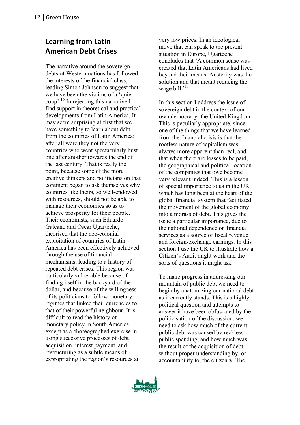# Learning from Latin **American Debt Crises**

The narrative around the sovereign debts of Western nations has followed the interests of the financial class, leading Simon Johnson to suggest that we have been the victims of a 'quiet coup'.<sup>16</sup> In rejecting this narrative I find support in theoretical and practical developments from Latin America. It may seem surprising at first that we have something to learn about debt from the countries of Latin America: after all were they not the very countries who went spectacularly bust one after another towards the end of the last century. That is really the point, because some of the more creative thinkers and politicians on that continent began to ask themselves why countries like theirs, so well -endowed with resources, should not be able to manage their economies so as to achieve prosperity for their people. Their economists, such Eduardo Galeano and Oscar Ugarteche, theorised that the neo -colonial exploitation of countries of Latin America has been effectively achieved through the use of financial mechanisms, leading to a history of repeated debt crises. This region was particularly vulnerable because of finding itself in the backyard of the dollar, and because of the willingness of its politicians to follow monetary regimes that linked their currencies to that of their powerful neighbour. It is difficult to read the history of monetary policy in South America except as a choreographed exercise in using successive processes of debt acquisition, interest payment, and restructuring as a subtle means of expropriating the region's resources at

very low prices. In an ideological move that can speak to the present situation in Europe, Ugarteche concludes that 'A common sense was created that Latin Americans had lived beyond their means. Austerity was the solution and that meant reducing the wage bill.'<sup>17</sup>

In this section I address the issue of sovereign debt in the context of our own democracy: the United Kingdom. This is peculiarly appropriate, since one of the things that we have learned from the financial crisis is that the rootless nature of capitalism was always more apparent than real, and that when there are losses to be paid, the geographical and political location of the companies that owe become very relevant indeed. This is a lesson of special importance to us in the UK, which has long been at the heart of the global financial system that facilitated the movement of the global economy into a morass of debt. This gives the issue a particular importance, due to the national dependence on financial services as a source of fiscal revenue and foreign -exchange earnings. In this section I use the UK to illustrate how a Citizen's Audit might work and the sorts of questions it might ask.

To make progress in addressing our mountain of public debt we need to begin by anatomizing our national debt as it currently stands. This is a highly political question and attempts to answer it have been obfuscated by the politicisation of the discussion: we need to ask how much of the current public debt was caused by reckless public spending, and how much was the result of the acquisition of debt without proper understanding by, or accountability to, the citizenry. The

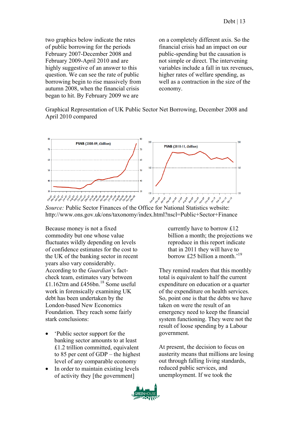two graphics below indicate the rates of public borrowing for the periods February 2007-December 2008 and February 2009-April 2010 and are highly suggestive of an answer to this question. We can see the rate of public borrowing begin to rise massively from autumn 2008, when the financial crisis began to hit. By February 2009 we are

on a completely different axis. So the financial crisis had an impact on our public-spending but the causation is not simple or direct. The intervening variables include a fall in tax revenues, higher rates of welfare spending, as well as a contraction in the size of the economy.

Graphical Representation of UK Public Sector Net Borrowing, December 2008 and April 2010 compared



*Source:* Public Sector Finances of the Office for National Statistics website: http://www.ons.gov.uk/ons/taxonomy/index.html?nscl=Public+Sector+Finance

Because money is not a fixed commodity but one whose value fluctuates wildly depending on levels of confidence estimates for the cost to the UK of the banking sector in recent years also vary considerably. According to the *Guardian*'s factcheck team, estimates vary between £1.162trn and £456bn.<sup>18</sup> Some useful work in forensically examining UK debt has been undertaken by the London-based New Economics Foundation. They reach some fairly stark conclusions:

- Public sector support for the banking sector amounts to at least £1.2 trillion committed, equivalent to 85 per cent of GDP – the highest level of any comparable economy
- In order to maintain existing levels of activity they [the government]

currently have to borrow £12 billion a month; the projections we reproduce in this report indicate that in 2011 they will have to borrow £25 billion a month.<sup>'19</sup>

They remind readers that this monthly total is equivalent to half the current expenditure on education or a quarter of the expenditure on health services. So, point one is that the debts we have taken on were the result of an emergency need to keep the financial system functioning. They were not the result of loose spending by a Labour government.

At present, the decision to focus on austerity means that millions are losing out through falling living standards, reduced public services, and unemployment. If we took the

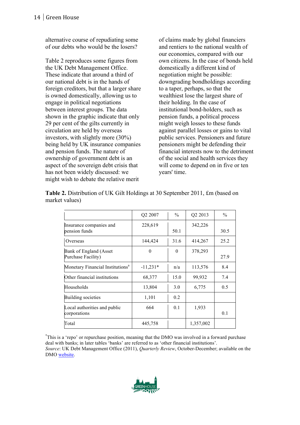alternative course of repudiating some of our debts who would be the losers?

Table 2 reproduces some figures from the UK Debt Management Office. These indicate that around a third of our national debt is in the hands of foreign creditors, but that a larger share is owned domestically, allowing us to engage in political negotiations between interest groups. The data shown in the graphic indicate that only 29 per cent of the gilts currently in circulation are held by overseas investors, with slightly more (30%) being held by UK insurance companies and pension funds. The nature of ownership of government debt is an aspect of the sovereign debt crisis that has not been widely discussed: we might wish to debate the relative merit

of claims made by global financiers and rentiers to the national wealth of our economies, compared with our own citizens. In the case of bonds held domestically a different kind of negotiation might be possible: downgrading bondholdings according to a taper, perhaps, so that the wealthiest lose the largest share of their holding. In the case of institutional bond-holders, such as pension funds, a political process might weigh losses to these funds against parallel losses or gains to vital public services. Pensioners and future pensioners might be defending their financial interests now to the detriment of the social and health services they will come to depend on in five or ten years' time.

|                                              | Q <sub>2</sub> 2007 | $\frac{0}{0}$ | Q2 2013   | $\frac{0}{0}$ |
|----------------------------------------------|---------------------|---------------|-----------|---------------|
| Insurance companies and<br>pension funds     | 228,619             | 50.1          | 342,226   | 30.5          |
| Overseas                                     | 144,424             | 31.6          | 414,267   | 25.2          |
| Bank of England (Asset<br>Purchase Facility) | $\theta$            | $\Omega$      | 378,293   | 27.9          |
| Monetary Financial Institutions <sup>a</sup> | $-11,231*$          | n/a           | 113,576   | 8.4           |
| Other financial institutions                 | 68,377              | 15.0          | 99,932    | 7.4           |
| Households                                   | 13,804              | 3.0           | 6,775     | 0.5           |
| Building societies                           | 1,101               | 0.2           |           |               |
| Local authorities and public<br>corporations | 664                 | 0.1           | 1,933     | 0.1           |
| Total                                        | 445,758             |               | 1,357,002 |               |

**Table 2.** Distribution of UK Gilt Holdings at 30 September 2011, £m (based on market values)

\* This is a 'repo' or repurchase position, meaning that the DMO was involved in a forward purchase deal with banks; in later tables 'banks' are referred to as 'other financial institutions'. *Source*: UK Debt Management Office (2011), *Quarterly Review*, October-December; available on the DMO website.

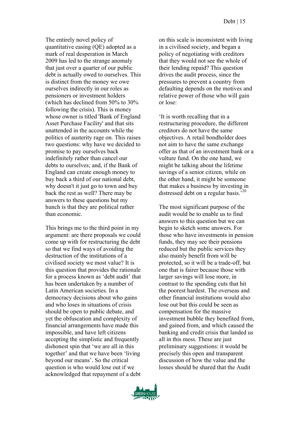The entirely novel policy of quantitative easing (QE) adopted as a mark of real desperation in March 2009 has led to the strange anomaly that just over a quarter of our public debt is actually owed to ourselves. This is distinct from the money we owe ourselves indirectly in our roles as pensioners or investment holders (which has declined from 50% to 30% following the crisis). This is money whose owner is titled 'Bank of England Asset Purchase Facility' and that sits unattended in the accounts while the politics of austerity rage on. This raises two questions: why have we decided to promise to pay ourselves back indefinitely rather than cancel our debts to ourselves; and, if the Bank of England can create enough money to buy back a third of our national debt, why doesn't it just go to town and buy back the rest as well? There may be answers to these questions but my hunch is that they are political rather than economic.

This brings me to the third point in my argument: are there proposals we could come up with for restructuring the debt so that we find ways of avoiding the destruction of the institutions of a civilised society we most value? It is this question that provides the rationale for a process known as 'debt audit' that has been undertaken by a number of Latin American societies. In a democracy decisions about who gains and who loses in situations of crisis should be open to public debate, and yet the obfuscation and complexity of financial arrangements have made this impossible, and have left citizens accepting the simplistic and frequently dishonest spin that 'we are all in this together' and that we have been 'living beyond our means'. So the critical question is who would lose out if we acknowledged that repayment of a debt

on this scale is inconsistent with living in a civilised society, and began a policy of negotiating with creditors that they would not see the whole of their lending repaid? This question drives the audit process, since the pressures to prevent a country from defaulting depends on the motives and relative power of those who will gain or lose:

'It is worth recalling that in a restructuring procedure, the different creditors do not have the same objectives. A retail bondholder does not aim to have the same exchange offer as that of an investment bank or a vulture fund. On the one hand, we might be talking about the lifetime savings of a senior citizen, while on the other hand, it might be someone that makes a business by investing in distressed debt on a regular basis.<sup>520</sup>

The most significant purpose of the audit would be to enable us to find answers to this question but we can begin to sketch some answers. For those who have investments in pension funds, they may see their pensions reduced but the public services they also mainly benefit from will be protected, so it will be a trade-off, but one that is fairer because those with larger savings will lose more, in contrast to the spending cuts that hit the poorest hardest. The overseas and other financial institutions would also lose out but this could be seen as compensation for the massive investment bubble they benefited from, and gained from, and which caused the banking and credit crisis that landed us all in this mess. These are just preliminary suggestions: it would be precisely this open and transparent discussion of how the value and the losses should be shared that the Audit

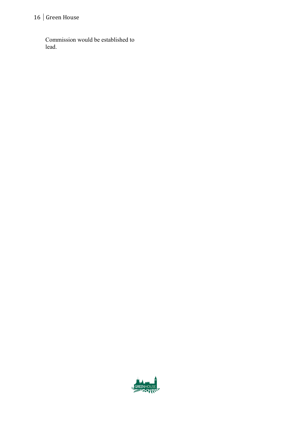# 16  $\vert$  Green House

Commission would be established to lead.

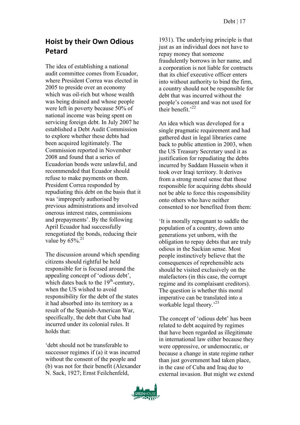# **Hoist by their Own Odious Petard**

The idea of establishing a national audit committee comes from Ecuador, where President Correa was elected in 2005 to preside over an economy which was oil-rich but whose wealth was being drained and whose people were left in poverty because 50% of national income was being spent on servicing foreign debt. In July 2007 he established a Debt Audit Commission to explore whether these debts had been acquired legitimately. The Commission reported in November 2008 and found that a series of Ecuadorian bonds were unlawful, and recommended that Ecuador should refuse to make payments on them. President Correa responded by repudiating this debt on the basis that it was 'improperly authorised by previous administrations and involved onerous interest rates, commissions and prepayments'. By the following April Ecuador had successfully renegotiated the bonds, reducing their value by  $65\%$ <sup>21</sup>

The discussion around which spending citizens should rightful be held responsible for is focused around the appealing concept of 'odious debt', which dates back to the  $19<sup>th</sup>$ -century, when the US wished to avoid responsibility for the debt of the states it had absorbed into its territory as a result of the Spanish-American War, specifically, the debt that Cuba had incurred under its colonial rules. It holds that:

'debt should not be transferable to successor regimes if (a) it was incurred without the consent of the people and (b) was not for their benefit (Alexander N. Sack, 1927; Ernst Feilchenfeld,

1931). The underlying principle is that just as an individual does not have to repay money that someone fraudulently borrows in her name, and a corporation is not liable for contracts that its chief executive officer enters into without authority to bind the firm, a country should not be responsible for debt that was incurred without the people's consent and was not used for their benefit.<sup>32</sup>

An idea which was developed for a single pragmatic requirement and had gathered dust in legal libraries came back to public attention in 2003, when the US Treasury Secretary used it as justification for repudiating the debts incurred by Saddam Hussein when it took over Iraqi territory. It derives from a strong moral sense that those responsible for acquiring debts should not be able to force this responsibility onto others who have neither consented to nor benefited from them:

'It is morally repugnant to saddle the population of a country, down unto generations yet unborn, with the obligation to repay debts that are truly odious in the Sackian sense. Most people instinctively believe that the consequences of reprehensible acts should be visited exclusively on the malefactors (in this case, the corrupt regime and its complaisant creditors). The question is whether this moral imperative can be translated into a workable legal theory.<sup>23</sup>

The concept of 'odious debt' has been related to debt acquired by regimes that have been regarded as illegitimate in international law either because they were oppressive, or undemocratic, or because a change in state regime rather than just government had taken place, in the case of Cuba and Iraq due to external invasion. But might we extend

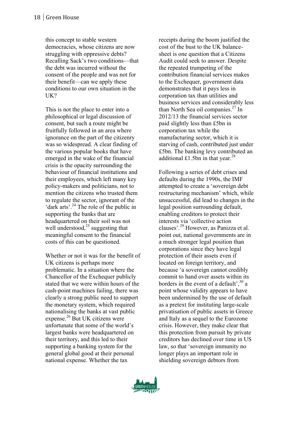this concept to stable western democracies, whose citizens are now struggling with oppressive debts? Recalling Sack's two conditions —that the debt was incurred without the consent of the people and was not for their benefit—can we apply these conditions to our own situation in the UK?

This is not the place to enter into a philosophical or legal discussion of consent, but such a route might be fruitfully followed in an area where ignorance on the part of the citizenry was so widespread. A clear finding of the various popular books that have emerged in the wake of the financial crisis is the opacity surrounding the behaviour of financial institutions and their employees, which left many key policy -makers and politicians, not to mention the citizens who trusted them to regulate the sector, ignorant of the 'dark arts'.<sup>24</sup> The role of the public in supporting the banks that are headquartered on their soil was not well understood, $25$  suggesting that meaningful consent to the financial costs of this can be questioned.

Whether or not it was for the benefit of UK citizens is perhaps more problematic. In a situation where the Chancellor of the Exchequer publicly stated that we were within hours of the cash -point machines failing, there was clearly a strong public need to support the monetary system, which required nationalising the banks at vast public expense.<sup>26</sup> But UK citizens were unfortunate that some of the world's largest banks were headquartered on their territory, and this led to their supporting a banking system for the general global good at their personal national expense. Whether the tax

receipts during the boom justified the cost of the bust to the UK balance sheet is one question that a Citizens Audit could seek to answer. Despite the repeated trumpeting of the contribution financial services makes to the Exchequer, government data demonstrates that it pays less in corporation tax than utilities and business services and considerably less than North Sea oil companies. $27 \text{ In}$ 2012/13 the financial services sector paid slightly less than £5bn in corporation tax while the manufacturing sector, which it is starving of cash, contributed just under £5bn. The banking levy contributed an additional £1.5bn in that year.<sup>28</sup>

Following a series of debt crises and defaults during the 1990s, the IMF attempted to create a 'sovereign debt restructuring mechanism' which, while unsuccessful, did lead to changes in the legal position surrounding default, enabling creditors to protect their interests via 'collective action clauses'.<sup>29</sup> However, as Panizza et al. point out, national governments are in a much stronger legal position than corporations since they have legal protection of their assets even if located on foreign territory, and because 'a sovereign cannot credibly commit to hand over assets within its borders in the event of a default',  $30$  a point whose validity appears to have been undermined by the use of default as a pretext for instituting large -scale privatisation of public assets in Greece and Italy as a sequel to the Eurozone crisis. However, they make clear that this protection from pursuit by private creditors has declined over time in US law, so that 'sovereign immunity no longer plays an important role in shielding sovereign debtors from

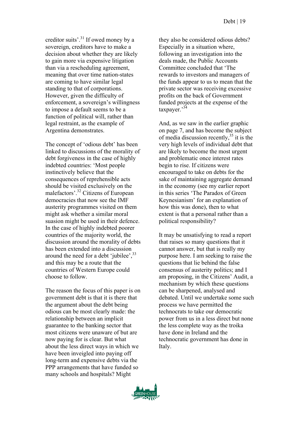creditor suits'.<sup>31</sup> If owed money by a sovereign, creditors have to make a decision about whether they are likely to gain more via expensive litigation than via a rescheduling agreement, meaning that over time nation-states are coming to have similar legal standing to that of corporations. However, given the difficulty of enforcement, a sovereign's willingness to impose a default seems to be a function of political will, rather than legal restraint, as the example of Argentina demonstrates.

The concept of 'odious debt' has been linked to discussions of the morality of debt forgiveness in the case of highly indebted countries: 'Most people instinctively believe that the consequences of reprehensible acts should be visited exclusively on the malefactors'.32 Citizens of European democracies that now see the IMF austerity programmes visited on them might ask whether a similar moral suasion might be used in their defence. In the case of highly indebted poorer countries of the majority world, the discussion around the morality of debts has been extended into a discussion around the need for a debt 'jubilee',<sup>33</sup> and this may be a route that the countries of Western Europe could choose to follow.

The reason the focus of this paper is on government debt is that it is there that the argument about the debt being odious can be most clearly made: the relationship between an implicit guarantee to the banking sector that most citizens were unaware of but are now paying for is clear. But what about the less direct ways in which we have been inveigled into paying off long-term and expensive debts via the PPP arrangements that have funded so many schools and hospitals? Might

they also be considered odious debts? Especially in a situation where, following an investigation into the deals made, the Public Accounts Committee concluded that 'The rewards to investors and managers of the funds appear to us to mean that the private sector was receiving excessive profits on the back of Government funded projects at the expense of the taxpayer.'34

And, as we saw in the earlier graphic on page 7, and has become the subject of media discussion recently,  $35$  it is the very high levels of individual debt that are likely to become the most urgent and problematic once interest rates begin to rise. If citizens were encouraged to take on debts for the sake of maintaining aggregate demand in the economy (see my earlier report in this series 'The Paradox of Green Keynesianism' for an explanation of how this was done), then to what extent is that a personal rather than a political responsibility?

It may be unsatisfying to read a report that raises so many questions that it cannot answer, but that is really my purpose here. I am seeking to raise the questions that lie behind the false consensus of austerity politics; and I am proposing, in the Citizens' Audit, a mechanism by which these questions can be sharpened, analysed and debated. Until we undertake some such process we have permitted the technocrats to take our democratic power from us in a less direct but none the less complete way as the troika have done in Ireland and the technocratic government has done in Italy.

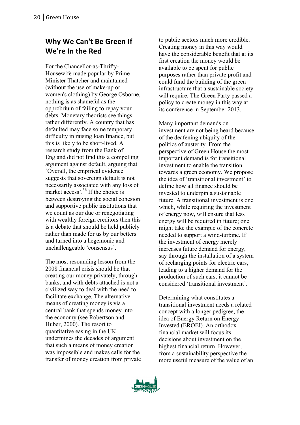# **Why We Can't Be Green If** We're In the Red

For the Chancellor-as-Thrifty-Housewife made popular by Prime Minister Thatcher and maintained (without the use of make -up or women's clothing) by George Osborne, nothing is as shameful as the opprobrium of failing to repay your debts. Monetary theorists see things rather differently. A country that has defaulted may face some temporary difficulty in raising loan finance, but this is likely to be short -lived. A research study from the Bank of England did not find this a compelling argument against default, arguing that 'Overall, the empirical evidence suggests that sovereign default is not necessarily associated with any loss of market access'.<sup>36</sup> If the choice is between destroying the social cohesion and supportive public institutions that we count as our due or renegotiating with wealthy foreign creditors then this is a debate that should be held publicly rather than made for us by our betters and turned into a hegemonic and unchallengeable 'consensus'.

The most resounding lesson from the 2008 financial crisis should be that creating our money privately, through banks, and with debts attached is not a civilized way to deal with the need to facilitate exchange. The alternative means of creating money is via a central bank that spends money into the economy (see Robertson and Huber, 2000). The resort to quantitative easing in the UK undermines the decades of argument that such a means of money creation was impossible and makes calls for the transfer of money creation from private

to public sectors much more credible. Creating money in this way would have the considerable benefit that at its first creation the money would be available to be spent for public purposes rather than private profit and could fund the building of the green infrastructure that a sustainable society will require. The Green Party passed a policy to create money in this way at its conference in September 2013.

Many important demands on investment are not being heard because of the deafening ubiquity of the politics of austerity. From the perspective of Green House the most important demand is for transitional investment to enable the transition towards a green economy. We propose the idea of 'transitional investment' to define how all finance should be invested to underpin a sustainable future. A transitional investment is one which, while requiring the investment of energy now, will ensure that less energy will be required in future; one might take the example of the concrete needed to support a wind -turbine. If the investment of energy merely increases future demand for energy, say through the installation of a system of recharging points for electric cars, leading to a higher demand for the production of such cars, it cannot be considered 'transitional investment'.

Determining what constitutes a transitional investment needs a related concept with a longer pedigree, the idea of Energy Return on Energy Invested (EROEI). An orthodox financial market will focus its decisions about investment on the highest financial return. However, from a sustainability perspective the more useful measure of the value of an

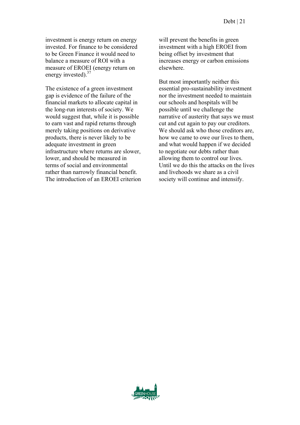investment is energy return on energy invested. For finance to be considered to be Green Finance it would need to balance a measure of ROI with a measure of EROEI (energy return on energy invested).<sup>37</sup>

The existence of a green investment gap is evidence of the failure of the financial markets to allocate capital in the long-run interests of society. We would suggest that, while it is possible to earn vast and rapid returns through merely taking positions on derivative products, there is never likely to be adequate investment in green infrastructure where returns are slower, lower, and should be measured in terms of social and environmental rather than narrowly financial benefit. The introduction of an EROEI criterion

will prevent the benefits in green investment with a high EROEI from being offset by investment that increases energy or carbon emissions elsewhere.

But most importantly neither this essential pro-sustainability investment nor the investment needed to maintain our schools and hospitals will be possible until we challenge the narrative of austerity that says we must cut and cut again to pay our creditors. We should ask who those creditors are. how we came to owe our lives to them and what would happen if we decided to negotiate our debts rather than allowing them to control our lives. Until we do this the attacks on the lives and livehoods we share as a civil society will continue and intensify.

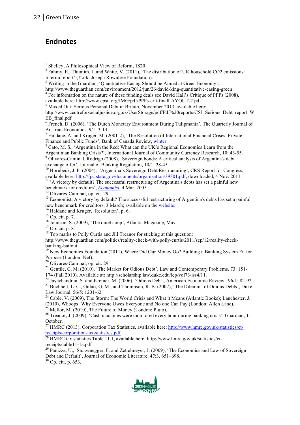#### **Endnotes**

<sup>6</sup> French, D. (2006), 'The Dutch Monetary Environment During Tulipmania', The Quarterly Journal of

Austrian Economics, 9/1: 3-14.<br><sup>7</sup> Haldane, A. and Kruger, M. (2001-2), 'The Resolution of International Financial Crises: Private Finance and Public Funds', Bank of Canada Review, winter.

 $^8$  Cato, M. S., 'Argentina in the Red: What can the UK's Regional Economies Learn from the

Argentinian Banking Crisis?', International Journal of Community Currency Research, 10: 43-55.<br><sup>9</sup> Olivares-Caminal, Rodrigo (2008), 'Sovereign bonds: A critical analysis of Argentina's debt

exchange offer', Journal of Banking Regulation, 10/1: 28-45.<br><sup>10</sup> Hornbeck, J. F. (2004), 'Argentina's Sovereign Debt Restructuring', CRS Report for Congress, available here: http://fpc.state.gov/documents/organization/393

<sup>11</sup> 'A victory by default? The successful restructuring of Argentina's debts has set a painful new benchmark for creditors', *Economist*, 4 Mar. 2005.

<sup>12</sup> Olivares-Caminal, op. cit. 29. <sup>13</sup> Economist, A victory by default? The successful restructuring of Argentina's debts has set a painful <sup>13</sup> new benchmark for creditors, 3 March; available on the <u>website</u>.<br><sup>14</sup> Haldane and Kruger, 'Resolution', p. 6.<br><sup>15</sup> Op. cit. p. 7.<br><sup>16</sup> Johnson, S. (2009), 'The quiet coup', Atlantic Magazine, May.<br><sup>17</sup> Op. cit. p. 8.<br><sup>18</sup>

http://www.theguardian.com/politics/reality-check-with-polly-curtis/2011/sep/12/reality-check-

banking-bailout<br><sup>19</sup> New Economics Foundation (2011), Where Did Our Money Go? Building a Banking System Fit for Purpose (London: Nef).<br><sup>20</sup> Olivares-Caminal, op. cit. 29.

<sup>21</sup> Gentile, C. M. (2010), 'The Market for Odious Debt', Law and Contemporary Problems, 73: 151-

174 (Fall 2010). Available at: http://scholarship.law.duke.edu/lcp/vol73/iss4/11.<br><sup>22</sup> Jayachandran, S. and Kremer, M. (2006), 'Odious Debt', American Economic Review, 96/1: 82-92. <sup>23</sup> Buchheit, L. C., Gulati, G. M., and Thompson, R. B. (2007), 'The Dilemma of Odious Debts', Duke

Law Journal, 56/5: 1201-62.<br><sup>24</sup> Cable, V. (2009), The Storm: The World Crisis and What it Means (Atlantic Books); Lanchester, J. (2010), Whoops! Why Everyone Owes Everyone and No one Can Pay (London: Allen Lane).

<sup>25</sup> Mellor, M. (2010), The Future of Money (London: Pluto).<br><sup>26</sup> Treanor, J. (2009), 'Cash machines were monitored every hour during banking crisis', Guardian, 11 October.

<sup>27</sup> HMRC (2013), Corporation Tax Statistics, available here: http://www.hmrc.gov.uk/statistics/ct-

receipts/corporation-tax-statistics.pdf<br>
<sup>28</sup> HMRC tax statistics Table 11.1, available here: http://www.hmrc.gov.uk/statistics/ct-<br>
receipts/table11-1a.pdf

 $29$  Panizza, U., Sturzenegger, F. and Zettelmeyer, J. (2009), 'The Economics and Law of Sovereign Debt and Default', Journal of Economic Literature, 47:3, 651–698. <sup>30</sup> Op. cit., p. 653.



<sup>&</sup>lt;sup>1</sup> Shelley, A Philosophical View of Reform, 1820<br><sup>2</sup> Fahmy, E., Thumim, J. and White, V. (2011), 'The distribution of UK household CO2 emissions: Interim report' (York: Joseph Rowntree Foundation).

<sup>&</sup>lt;sup>3</sup> Writing in the Guardian, 'Quantitative Easing Should be Aimed at Green Economy':

http://www.theguardian.com/environment/2012/jun/26/david-king-quantitative-easing-green <sup>4</sup> For information on the nature of these funding deals see David Hall's Critique of PPPs (2008), available here: http://www.epsu.org

 $<sup>5</sup>$  Maxed Out: Serious Personal Debt in Britain, November 2013, available here:</sup>

http://www.centreforsocialjustice.org.uk/UserStorage/pdf/Pdf%20reports/CSJ\_Serious\_Debt\_report\_W EB\_final.pdf